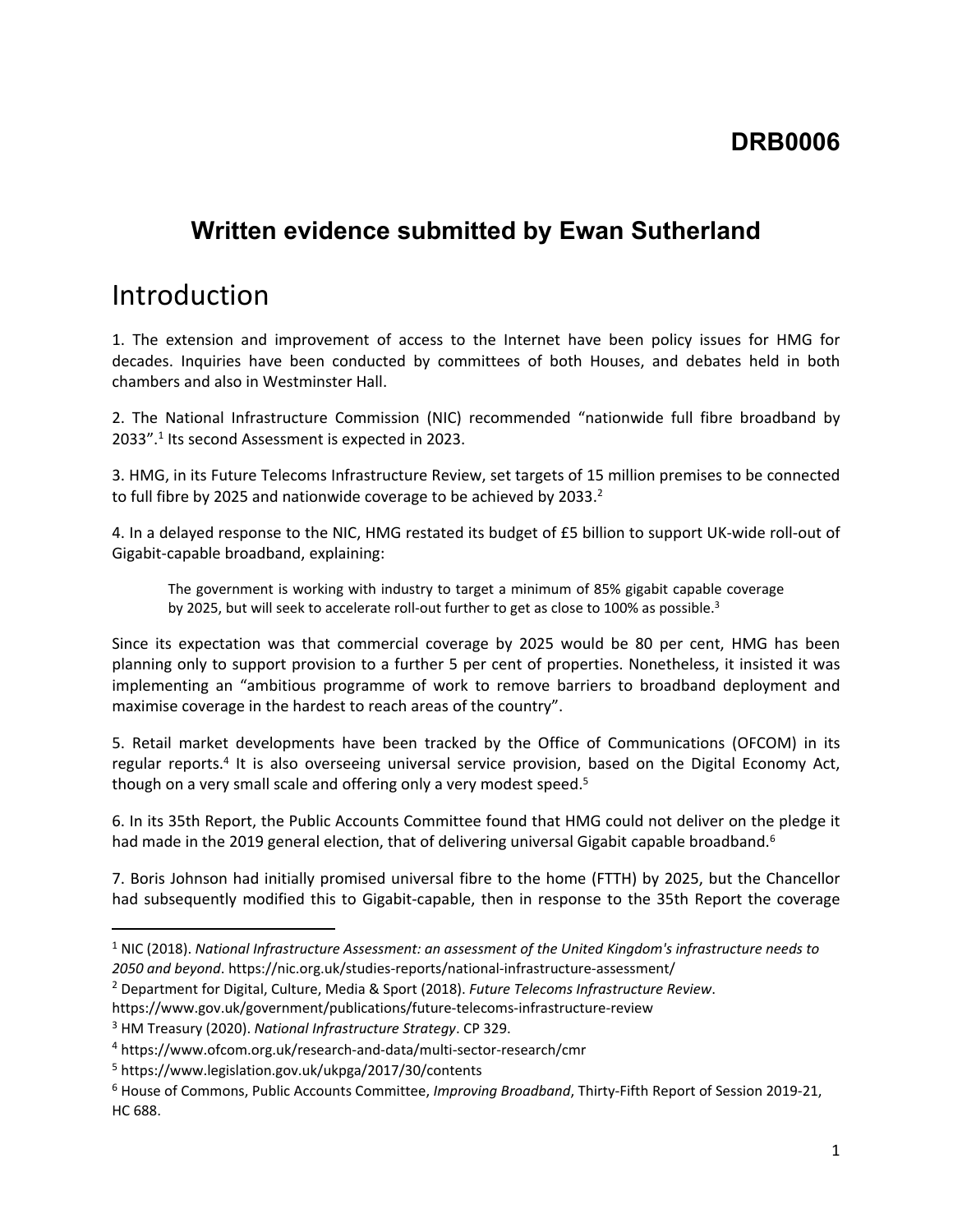#### **DRB0006**

### **Written evidence submitted by Ewan Sutherland**

### Introduction

1. The extension and improvement of access to the Internet have been policy issues for HMG for decades. Inquiries have been conducted by committees of both Houses, and debates held in both chambers and also in Westminster Hall.

2. The National Infrastructure Commission (NIC) recommended "nationwide full fibre broadband by 2033".<sup>1</sup> Its second Assessment is expected in 2023.

3. HMG, in its Future Telecoms Infrastructure Review, set targets of 15 million premises to be connected to full fibre by 2025 and nationwide coverage to be achieved by 2033.<sup>2</sup>

4. In a delayed response to the NIC, HMG restated its budget of £5 billion to support UK-wide roll-out of Gigabit-capable broadband, explaining:

The government is working with industry to target a minimum of 85% gigabit capable coverage by 2025, but will seek to accelerate roll-out further to get as close to 100% as possible.<sup>3</sup>

Since its expectation was that commercial coverage by 2025 would be 80 per cent, HMG has been planning only to support provision to a further 5 per cent of properties. Nonetheless, it insisted it was implementing an "ambitious programme of work to remove barriers to broadband deployment and maximise coverage in the hardest to reach areas of the country".

5. Retail market developments have been tracked by the Office of Communications (OFCOM) in its regular reports.<sup>4</sup> It is also overseeing universal service provision, based on the Digital Economy Act, though on a very small scale and offering only a very modest speed.<sup>5</sup>

6. In its 35th Report, the Public Accounts Committee found that HMG could not deliver on the pledge it had made in the 2019 general election, that of delivering universal Gigabit capable broadband.<sup>6</sup>

7. Boris Johnson had initially promised universal fibre to the home (FTTH) by 2025, but the Chancellor had subsequently modified this to Gigabit-capable, then in response to the 35th Report the coverage

<sup>1</sup> NIC (2018). *National Infrastructure Assessment: an assessment of the United Kingdom's infrastructure needs to 2050 and beyond*. https://nic.org.uk/studies-reports/national-infrastructure-assessment/

<sup>2</sup> Department for Digital, Culture, Media & Sport (2018). *Future Telecoms Infrastructure Review*.

https://www.gov.uk/government/publications/future-telecoms-infrastructure-review

<sup>3</sup> HM Treasury (2020). *National Infrastructure Strategy*. CP 329.

<sup>4</sup> https://www.ofcom.org.uk/research-and-data/multi-sector-research/cmr

<sup>5</sup> https://www.legislation.gov.uk/ukpga/2017/30/contents

<sup>6</sup> House of Commons, Public Accounts Committee, *Improving Broadband*, Thirty-Fifth Report of Session 2019-21, HC 688.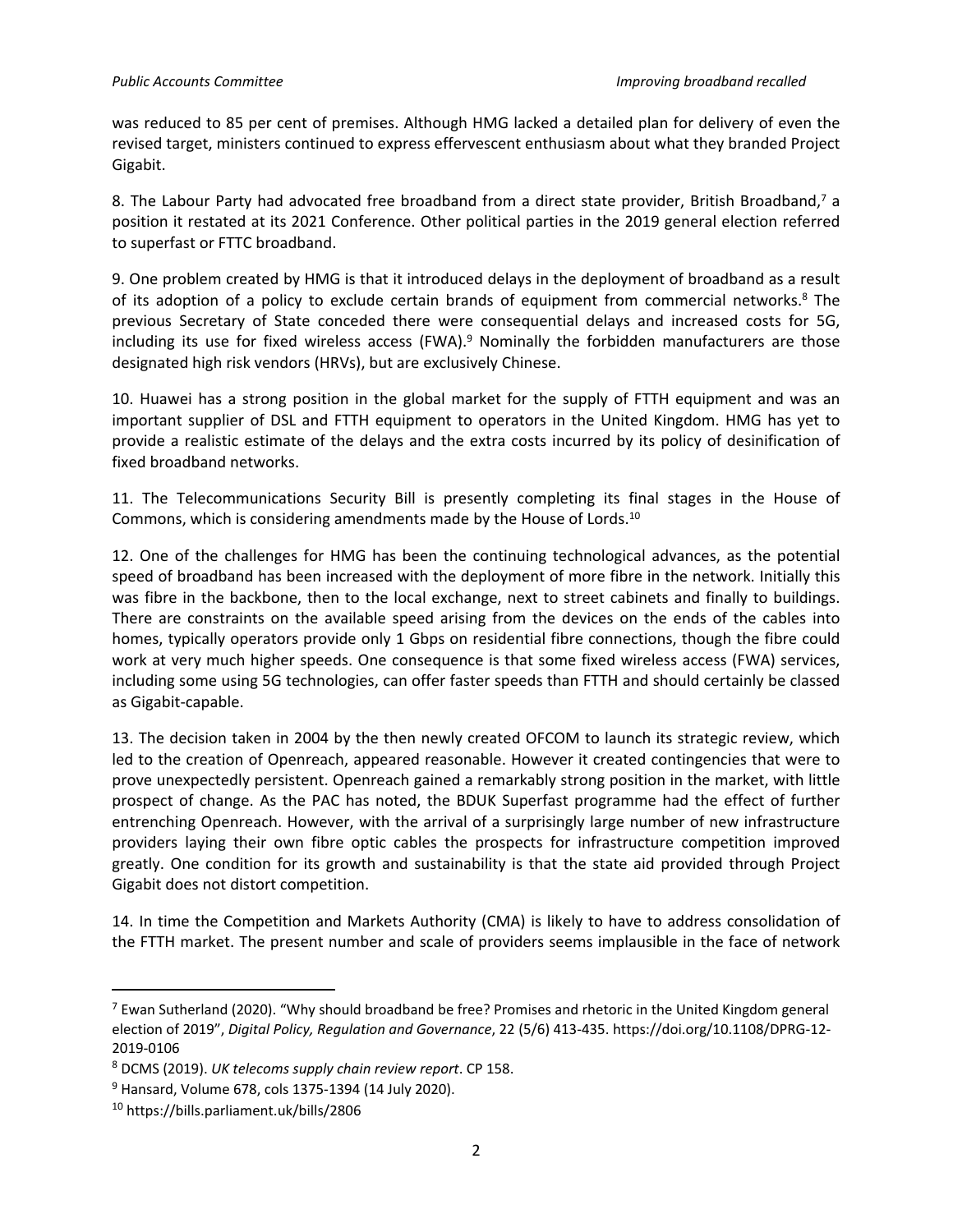was reduced to 85 per cent of premises. Although HMG lacked a detailed plan for delivery of even the revised target, ministers continued to express effervescent enthusiasm about what they branded Project Gigabit.

8. The Labour Party had advocated free broadband from a direct state provider, British Broadband,<sup>7</sup> a position it restated at its 2021 Conference. Other political parties in the 2019 general election referred to superfast or FTTC broadband.

9. One problem created by HMG is that it introduced delays in the deployment of broadband as a result of its adoption of a policy to exclude certain brands of equipment from commercial networks.<sup>8</sup> The previous Secretary of State conceded there were consequential delays and increased costs for 5G, including its use for fixed wireless access (FWA).<sup>9</sup> Nominally the forbidden manufacturers are those designated high risk vendors (HRVs), but are exclusively Chinese.

10. Huawei has a strong position in the global market for the supply of FTTH equipment and was an important supplier of DSL and FTTH equipment to operators in the United Kingdom. HMG has yet to provide a realistic estimate of the delays and the extra costs incurred by its policy of desinification of fixed broadband networks.

11. The Telecommunications Security Bill is presently completing its final stages in the House of Commons, which is considering amendments made by the House of Lords.<sup>10</sup>

12. One of the challenges for HMG has been the continuing technological advances, as the potential speed of broadband has been increased with the deployment of more fibre in the network. Initially this was fibre in the backbone, then to the local exchange, next to street cabinets and finally to buildings. There are constraints on the available speed arising from the devices on the ends of the cables into homes, typically operators provide only 1 Gbps on residential fibre connections, though the fibre could work at very much higher speeds. One consequence is that some fixed wireless access (FWA) services, including some using 5G technologies, can offer faster speeds than FTTH and should certainly be classed as Gigabit-capable.

13. The decision taken in 2004 by the then newly created OFCOM to launch its strategic review, which led to the creation of Openreach, appeared reasonable. However it created contingencies that were to prove unexpectedly persistent. Openreach gained a remarkably strong position in the market, with little prospect of change. As the PAC has noted, the BDUK Superfast programme had the effect of further entrenching Openreach. However, with the arrival of a surprisingly large number of new infrastructure providers laying their own fibre optic cables the prospects for infrastructure competition improved greatly. One condition for its growth and sustainability is that the state aid provided through Project Gigabit does not distort competition.

14. In time the Competition and Markets Authority (CMA) is likely to have to address consolidation of the FTTH market. The present number and scale of providers seems implausible in the face of network

 $<sup>7</sup>$  Ewan Sutherland (2020). "Why should broadband be free? Promises and rhetoric in the United Kingdom general</sup> election of 2019", *Digital Policy, Regulation and Governance*, 22 (5/6) 413-435. https://doi.org/10.1108/DPRG-12- 2019-0106

<sup>8</sup> DCMS (2019). *UK telecoms supply chain review report*. CP 158.

<sup>9</sup> Hansard, Volume 678, cols 1375-1394 (14 July 2020).

<sup>10</sup> https://bills.parliament.uk/bills/2806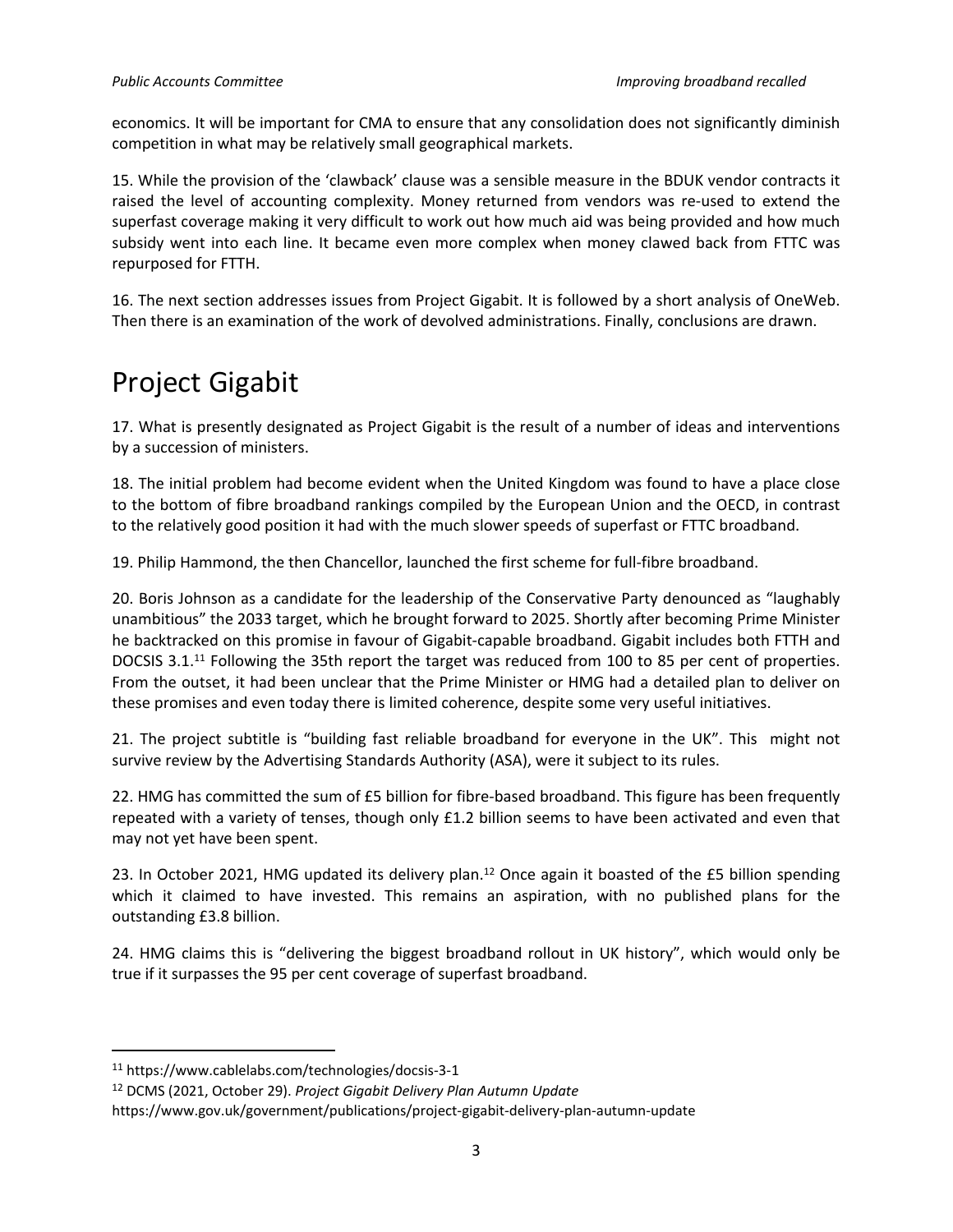economics. It will be important for CMA to ensure that any consolidation does not significantly diminish competition in what may be relatively small geographical markets.

15. While the provision of the 'clawback' clause was a sensible measure in the BDUK vendor contracts it raised the level of accounting complexity. Money returned from vendors was re-used to extend the superfast coverage making it very difficult to work out how much aid was being provided and how much subsidy went into each line. It became even more complex when money clawed back from FTTC was repurposed for FTTH.

16. The next section addresses issues from Project Gigabit. It is followed by a short analysis of OneWeb. Then there is an examination of the work of devolved administrations. Finally, conclusions are drawn.

# Project Gigabit

17. What is presently designated as Project Gigabit is the result of a number of ideas and interventions by a succession of ministers.

18. The initial problem had become evident when the United Kingdom was found to have a place close to the bottom of fibre broadband rankings compiled by the European Union and the OECD, in contrast to the relatively good position it had with the much slower speeds of superfast or FTTC broadband.

19. Philip Hammond, the then Chancellor, launched the first scheme for full-fibre broadband.

20. Boris Johnson as a candidate for the leadership of the Conservative Party denounced as "laughably unambitious" the 2033 target, which he brought forward to 2025. Shortly after becoming Prime Minister he backtracked on this promise in favour of Gigabit-capable broadband. Gigabit includes both FTTH and DOCSIS 3.1.<sup>11</sup> Following the 35th report the target was reduced from 100 to 85 per cent of properties. From the outset, it had been unclear that the Prime Minister or HMG had a detailed plan to deliver on these promises and even today there is limited coherence, despite some very useful initiatives.

21. The project subtitle is "building fast reliable broadband for everyone in the UK". This might not survive review by the Advertising Standards Authority (ASA), were it subject to its rules.

22. HMG has committed the sum of £5 billion for fibre-based broadband. This figure has been frequently repeated with a variety of tenses, though only £1.2 billion seems to have been activated and even that may not yet have been spent.

23. In October 2021, HMG updated its delivery plan.<sup>12</sup> Once again it boasted of the £5 billion spending which it claimed to have invested. This remains an aspiration, with no published plans for the outstanding £3.8 billion.

24. HMG claims this is "delivering the biggest broadband rollout in UK history", which would only be true if it surpasses the 95 per cent coverage of superfast broadband.

<sup>11</sup> https://www.cablelabs.com/technologies/docsis-3-1

<sup>12</sup> DCMS (2021, October 29). *Project Gigabit Delivery Plan Autumn Update*

https://www.gov.uk/government/publications/project-gigabit-delivery-plan-autumn-update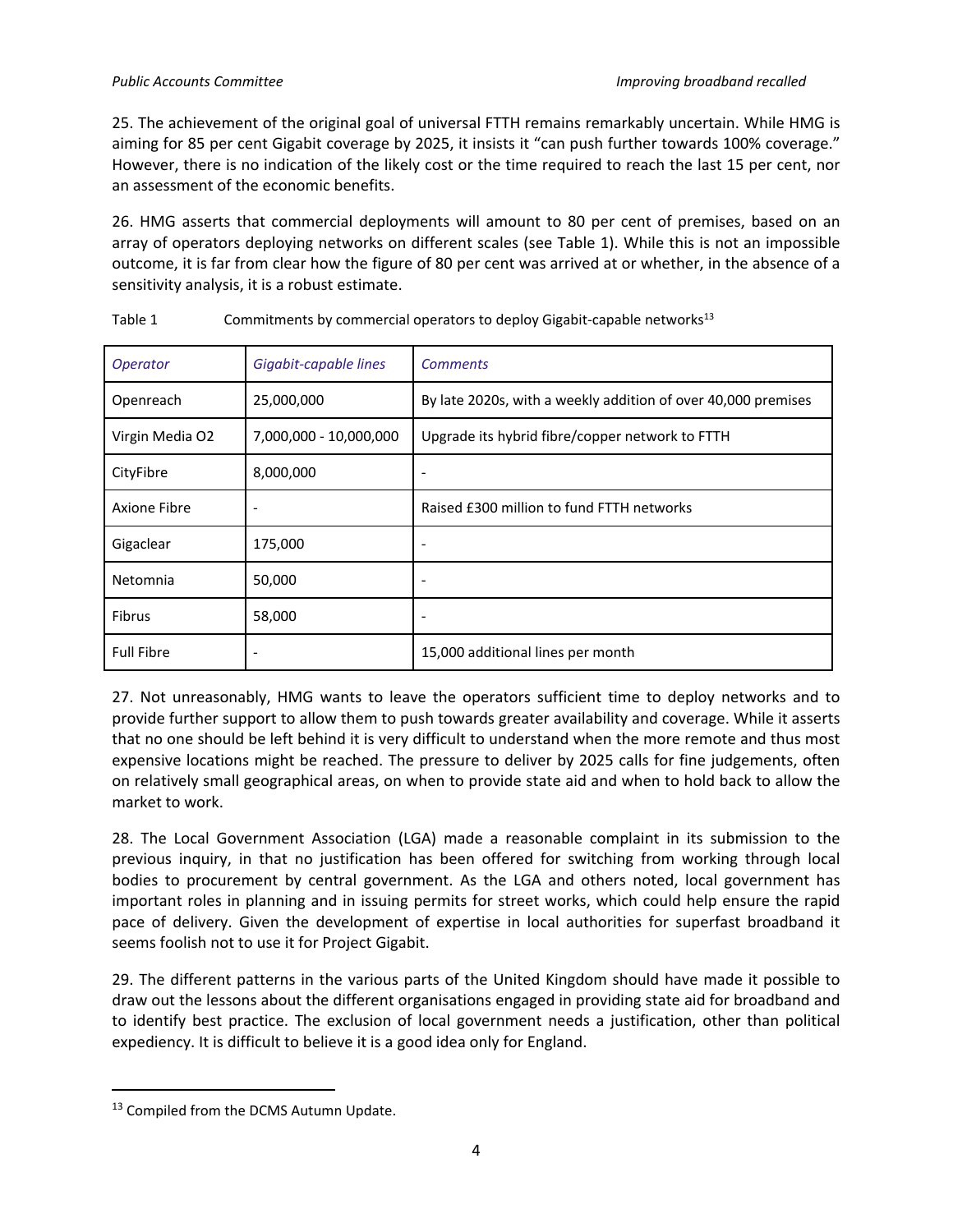25. The achievement of the original goal of universal FTTH remains remarkably uncertain. While HMG is aiming for 85 per cent Gigabit coverage by 2025, it insists it "can push further towards 100% coverage." However, there is no indication of the likely cost or the time required to reach the last 15 per cent, nor an assessment of the economic benefits.

26. HMG asserts that commercial deployments will amount to 80 per cent of premises, based on an array of operators deploying networks on different scales (see Table 1). While this is not an impossible outcome, it is far from clear how the figure of 80 per cent was arrived at or whether, in the absence of a sensitivity analysis, it is a robust estimate.

| <i><b>Operator</b></i> | Gigabit-capable lines  | <b>Comments</b>                                               |
|------------------------|------------------------|---------------------------------------------------------------|
| Openreach              | 25,000,000             | By late 2020s, with a weekly addition of over 40,000 premises |
| Virgin Media O2        | 7,000,000 - 10,000,000 | Upgrade its hybrid fibre/copper network to FTTH               |
| CityFibre              | 8,000,000              | ٠                                                             |
| Axione Fibre           | ٠                      | Raised £300 million to fund FTTH networks                     |
| Gigaclear              | 175,000                |                                                               |
| Netomnia               | 50,000                 |                                                               |
| <b>Fibrus</b>          | 58,000                 |                                                               |
| <b>Full Fibre</b>      |                        | 15,000 additional lines per month                             |

Table 1  $\sim$  Commitments by commercial operators to deploy Gigabit-capable networks<sup>13</sup>

27. Not unreasonably, HMG wants to leave the operators sufficient time to deploy networks and to provide further support to allow them to push towards greater availability and coverage. While it asserts that no one should be left behind it is very difficult to understand when the more remote and thus most expensive locations might be reached. The pressure to deliver by 2025 calls for fine judgements, often on relatively small geographical areas, on when to provide state aid and when to hold back to allow the market to work.

28. The Local Government Association (LGA) made a reasonable complaint in its submission to the previous inquiry, in that no justification has been offered for switching from working through local bodies to procurement by central government. As the LGA and others noted, local government has important roles in planning and in issuing permits for street works, which could help ensure the rapid pace of delivery. Given the development of expertise in local authorities for superfast broadband it seems foolish not to use it for Project Gigabit.

29. The different patterns in the various parts of the United Kingdom should have made it possible to draw out the lessons about the different organisations engaged in providing state aid for broadband and to identify best practice. The exclusion of local government needs a justification, other than political expediency. It is difficult to believe it is a good idea only for England.

<sup>13</sup> Compiled from the DCMS Autumn Update.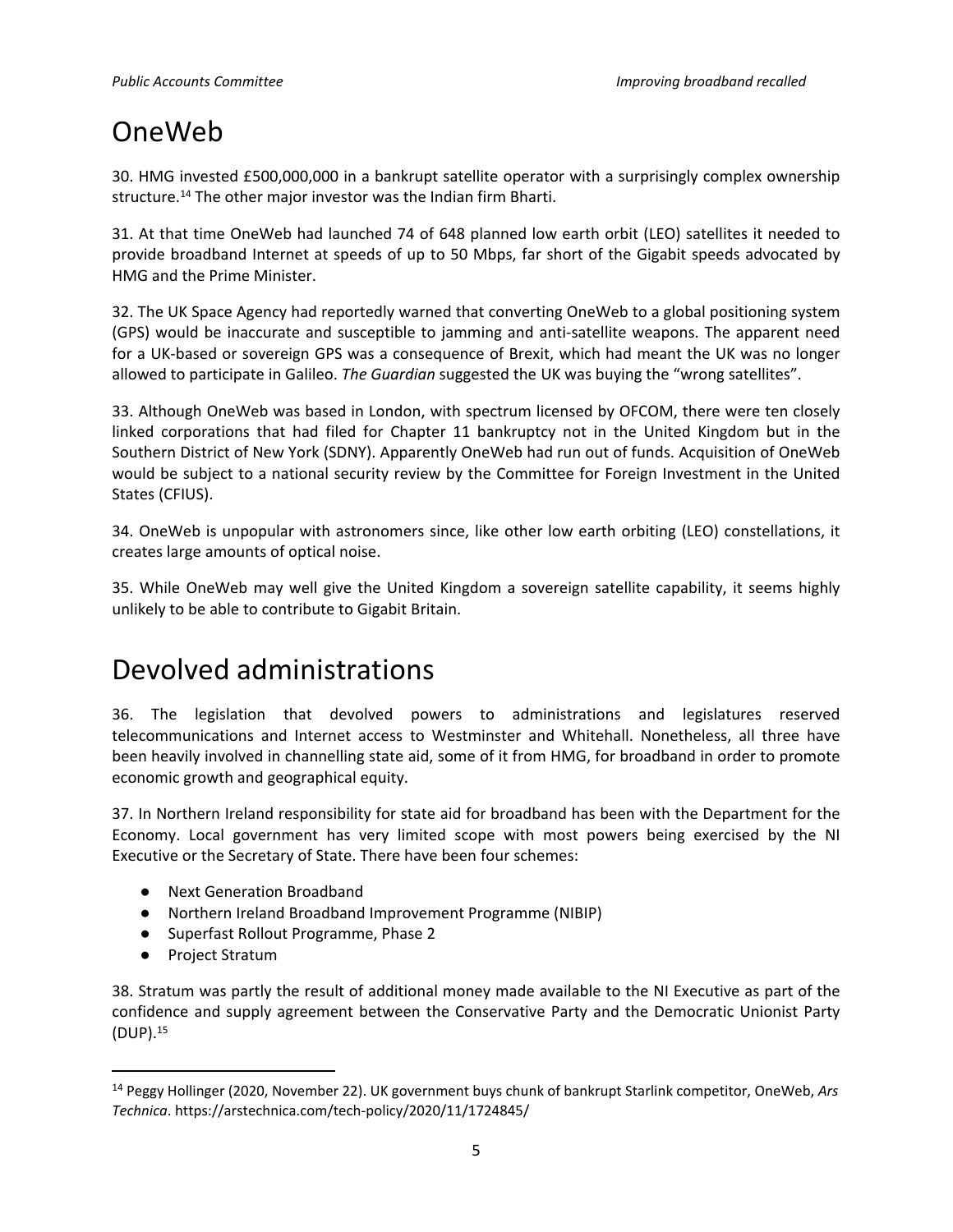## OneWeb

30. HMG invested £500,000,000 in a bankrupt satellite operator with a surprisingly complex ownership structure.<sup>14</sup> The other major investor was the Indian firm Bharti.

31. At that time OneWeb had launched 74 of 648 planned low earth orbit (LEO) satellites it needed to provide broadband Internet at speeds of up to 50 Mbps, far short of the Gigabit speeds advocated by HMG and the Prime Minister.

32. The UK Space Agency had reportedly warned that converting OneWeb to a global positioning system (GPS) would be inaccurate and susceptible to jamming and anti-satellite weapons. The apparent need for a UK-based or sovereign GPS was a consequence of Brexit, which had meant the UK was no longer allowed to participate in Galileo. *The Guardian* suggested the UK was buying the "wrong satellites".

33. Although OneWeb was based in London, with spectrum licensed by OFCOM, there were ten closely linked corporations that had filed for Chapter 11 bankruptcy not in the United Kingdom but in the Southern District of New York (SDNY). Apparently OneWeb had run out of funds. Acquisition of OneWeb would be subject to a national security review by the Committee for Foreign Investment in the United States (CFIUS).

34. OneWeb is unpopular with astronomers since, like other low earth orbiting (LEO) constellations, it creates large amounts of optical noise.

35. While OneWeb may well give the United Kingdom a sovereign satellite capability, it seems highly unlikely to be able to contribute to Gigabit Britain.

## Devolved administrations

36. The legislation that devolved powers to administrations and legislatures reserved telecommunications and Internet access to Westminster and Whitehall. Nonetheless, all three have been heavily involved in channelling state aid, some of it from HMG, for broadband in order to promote economic growth and geographical equity.

37. In Northern Ireland responsibility for state aid for broadband has been with the Department for the Economy. Local government has very limited scope with most powers being exercised by the NI Executive or the Secretary of State. There have been four schemes:

- Next Generation Broadband
- Northern Ireland Broadband Improvement Programme (NIBIP)
- Superfast Rollout Programme, Phase 2
- Project Stratum

38. Stratum was partly the result of additional money made available to the NI Executive as part of the confidence and supply agreement between the Conservative Party and the Democratic Unionist Party (DUP).<sup>15</sup>

<sup>14</sup> Peggy Hollinger (2020, November 22). UK government buys chunk of bankrupt Starlink competitor, OneWeb, *Ars Technica*. https://arstechnica.com/tech-policy/2020/11/1724845/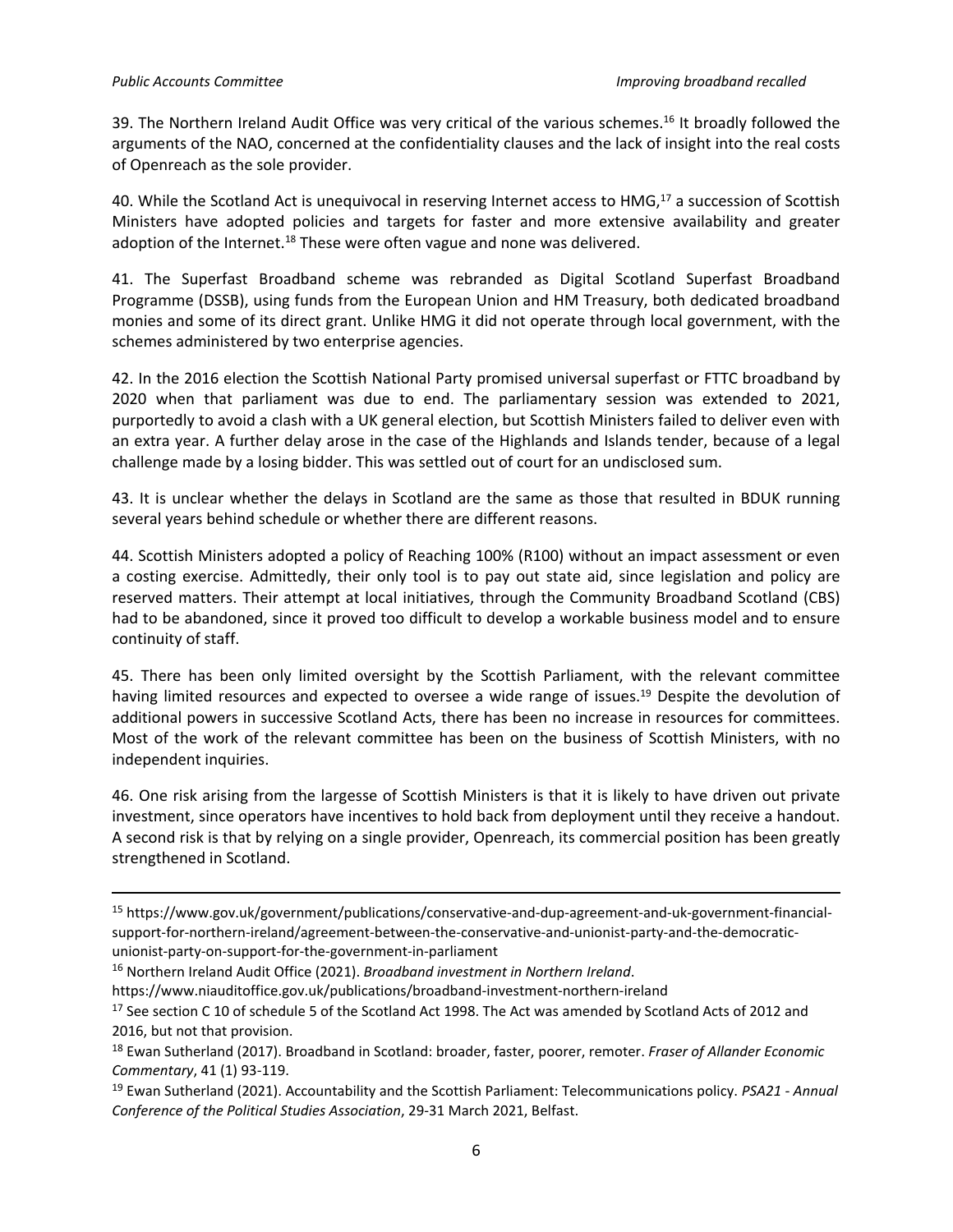39. The Northern Ireland Audit Office was very critical of the various schemes.<sup>16</sup> It broadly followed the arguments of the NAO, concerned at the confidentiality clauses and the lack of insight into the real costs of Openreach as the sole provider.

40. While the Scotland Act is unequivocal in reserving Internet access to HMG,<sup>17</sup> a succession of Scottish Ministers have adopted policies and targets for faster and more extensive availability and greater adoption of the Internet.<sup>18</sup> These were often vague and none was delivered.

41. The Superfast Broadband scheme was rebranded as Digital Scotland Superfast Broadband Programme (DSSB), using funds from the European Union and HM Treasury, both dedicated broadband monies and some of its direct grant. Unlike HMG it did not operate through local government, with the schemes administered by two enterprise agencies.

42. In the 2016 election the Scottish National Party promised universal superfast or FTTC broadband by 2020 when that parliament was due to end. The parliamentary session was extended to 2021, purportedly to avoid a clash with a UK general election, but Scottish Ministers failed to deliver even with an extra year. A further delay arose in the case of the Highlands and Islands tender, because of a legal challenge made by a losing bidder. This was settled out of court for an undisclosed sum.

43. It is unclear whether the delays in Scotland are the same as those that resulted in BDUK running several years behind schedule or whether there are different reasons.

44. Scottish Ministers adopted a policy of Reaching 100% (R100) without an impact assessment or even a costing exercise. Admittedly, their only tool is to pay out state aid, since legislation and policy are reserved matters. Their attempt at local initiatives, through the Community Broadband Scotland (CBS) had to be abandoned, since it proved too difficult to develop a workable business model and to ensure continuity of staff.

45. There has been only limited oversight by the Scottish Parliament, with the relevant committee having limited resources and expected to oversee a wide range of issues.<sup>19</sup> Despite the devolution of additional powers in successive Scotland Acts, there has been no increase in resources for committees. Most of the work of the relevant committee has been on the business of Scottish Ministers, with no independent inquiries.

46. One risk arising from the largesse of Scottish Ministers is that it is likely to have driven out private investment, since operators have incentives to hold back from deployment until they receive a handout. A second risk is that by relying on a single provider, Openreach, its commercial position has been greatly strengthened in Scotland.

<sup>15</sup> https://www.gov.uk/government/publications/conservative-and-dup-agreement-and-uk-government-financialsupport-for-northern-ireland/agreement-between-the-conservative-and-unionist-party-and-the-democraticunionist-party-on-support-for-the-government-in-parliament

<sup>16</sup> Northern Ireland Audit Office (2021). *Broadband investment in Northern Ireland*.

https://www.niauditoffice.gov.uk/publications/broadband-investment-northern-ireland

<sup>&</sup>lt;sup>17</sup> See section C 10 of schedule 5 of the Scotland Act 1998. The Act was amended by Scotland Acts of 2012 and 2016, but not that provision.

<sup>18</sup> Ewan Sutherland (2017). Broadband in Scotland: broader, faster, poorer, remoter. *Fraser of Allander Economic Commentary*, 41 (1) 93-119.

<sup>19</sup> Ewan Sutherland (2021). Accountability and the Scottish Parliament: Telecommunications policy. *PSA21 - Annual Conference of the Political Studies Association*, 29-31 March 2021, Belfast.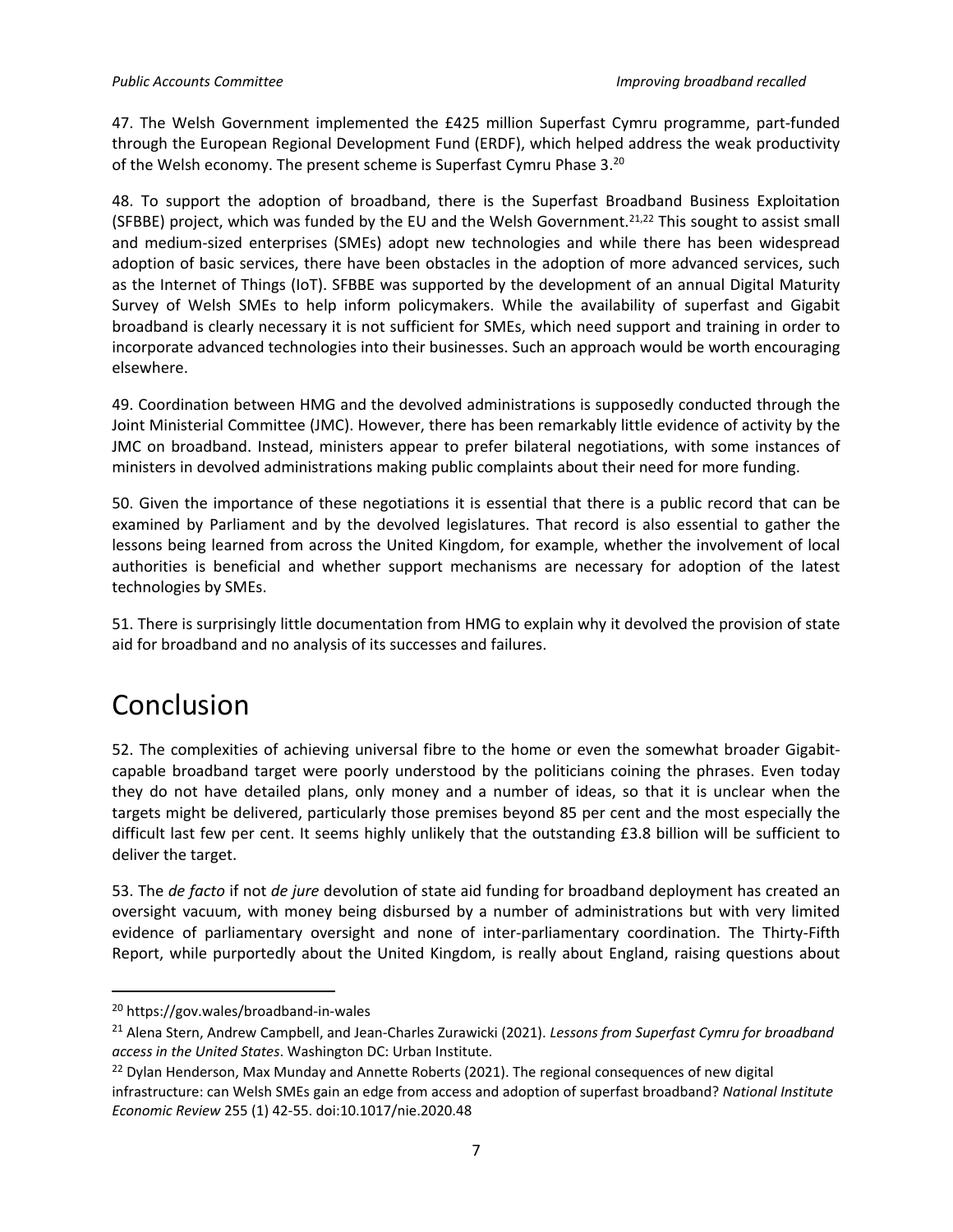47. The Welsh Government implemented the £425 million Superfast Cymru programme, part-funded through the European Regional Development Fund (ERDF), which helped address the weak productivity of the Welsh economy. The present scheme is Superfast Cymru Phase 3.<sup>20</sup>

48. To support the adoption of broadband, there is the Superfast Broadband Business Exploitation (SFBBE) project, which was funded by the EU and the Welsh Government.<sup>21,22</sup> This sought to assist small and medium-sized enterprises (SMEs) adopt new technologies and while there has been widespread adoption of basic services, there have been obstacles in the adoption of more advanced services, such as the Internet of Things (IoT). SFBBE was supported by the development of an annual Digital Maturity Survey of Welsh SMEs to help inform policymakers. While the availability of superfast and Gigabit broadband is clearly necessary it is not sufficient for SMEs, which need support and training in order to incorporate advanced technologies into their businesses. Such an approach would be worth encouraging elsewhere.

49. Coordination between HMG and the devolved administrations is supposedly conducted through the Joint Ministerial Committee (JMC). However, there has been remarkably little evidence of activity by the JMC on broadband. Instead, ministers appear to prefer bilateral negotiations, with some instances of ministers in devolved administrations making public complaints about their need for more funding.

50. Given the importance of these negotiations it is essential that there is a public record that can be examined by Parliament and by the devolved legislatures. That record is also essential to gather the lessons being learned from across the United Kingdom, for example, whether the involvement of local authorities is beneficial and whether support mechanisms are necessary for adoption of the latest technologies by SMEs.

51. There is surprisingly little documentation from HMG to explain why it devolved the provision of state aid for broadband and no analysis of its successes and failures.

## Conclusion

52. The complexities of achieving universal fibre to the home or even the somewhat broader Gigabitcapable broadband target were poorly understood by the politicians coining the phrases. Even today they do not have detailed plans, only money and a number of ideas, so that it is unclear when the targets might be delivered, particularly those premises beyond 85 per cent and the most especially the difficult last few per cent. It seems highly unlikely that the outstanding £3.8 billion will be sufficient to deliver the target.

53. The *de facto* if not *de jure* devolution of state aid funding for broadband deployment has created an oversight vacuum, with money being disbursed by a number of administrations but with very limited evidence of parliamentary oversight and none of inter-parliamentary coordination. The Thirty-Fifth Report, while purportedly about the United Kingdom, is really about England, raising questions about

<sup>20</sup> https://gov.wales/broadband-in-wales

<sup>21</sup> Alena Stern, Andrew Campbell, and Jean-Charles Zurawicki (2021). *Lessons from Superfast Cymru for broadband access in the United States*. Washington DC: Urban Institute.

<sup>&</sup>lt;sup>22</sup> Dylan Henderson, Max Munday and Annette Roberts (2021). The regional consequences of new digital infrastructure: can Welsh SMEs gain an edge from access and adoption of superfast broadband? *National Institute Economic Review* 255 (1) 42-55. doi:10.1017/nie.2020.48